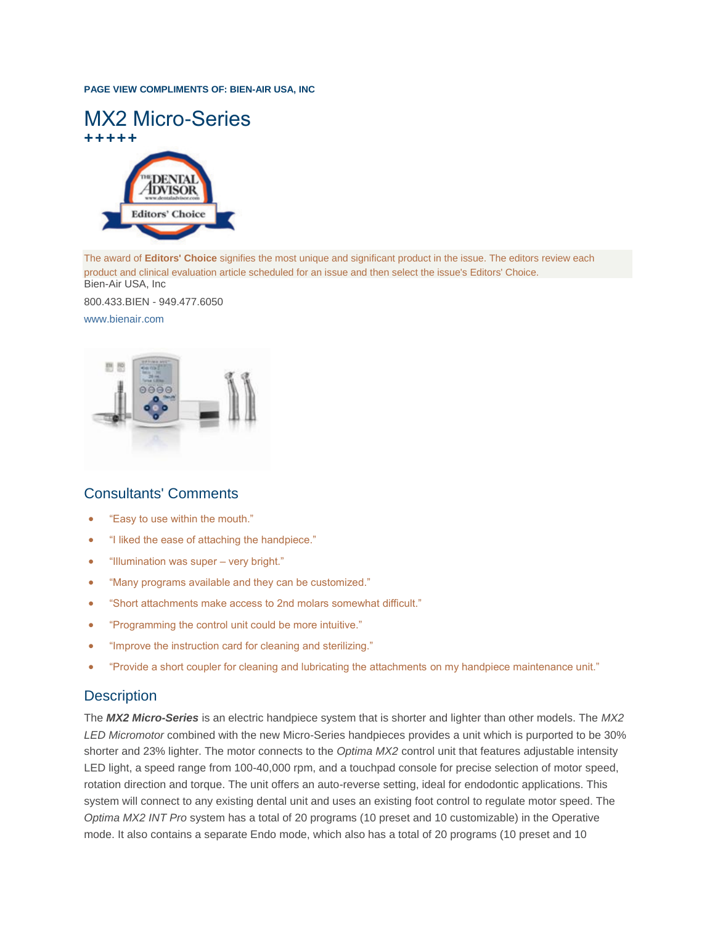#### **PAGE VIEW COMPLIMENTS OF: BIEN-AIR USA, INC**



The award of **Editors' Choice** signifies the most unique and significant product in the issue. The editors review each product and clinical evaluation article scheduled for an issue and then select the issue's Editors' Choice. Bien-Air USA, Inc

800.433.BIEN - 949.477.6050

#### [www.bienair.com](http://www.bienair.com/)



# Consultants' Comments

- "Easy to use within the mouth."
- "I liked the ease of attaching the handpiece."
- "Illumination was super very bright."
- "Many programs available and they can be customized."
- "Short attachments make access to 2nd molars somewhat difficult."
- "Programming the control unit could be more intuitive."
- "Improve the instruction card for cleaning and sterilizing."
- "Provide a short coupler for cleaning and lubricating the attachments on my handpiece maintenance unit."

## **Description**

The *MX2 Micro-Series* is an electric handpiece system that is shorter and lighter than other models. The *MX2 LED Micromotor* combined with the new Micro-Series handpieces provides a unit which is purported to be 30% shorter and 23% lighter. The motor connects to the *Optima MX2* control unit that features adjustable intensity LED light, a speed range from 100-40,000 rpm, and a touchpad console for precise selection of motor speed, rotation direction and torque. The unit offers an auto-reverse setting, ideal for endodontic applications. This system will connect to any existing dental unit and uses an existing foot control to regulate motor speed. The *Optima MX2 INT Pro* system has a total of 20 programs (10 preset and 10 customizable) in the Operative mode. It also contains a separate Endo mode, which also has a total of 20 programs (10 preset and 10